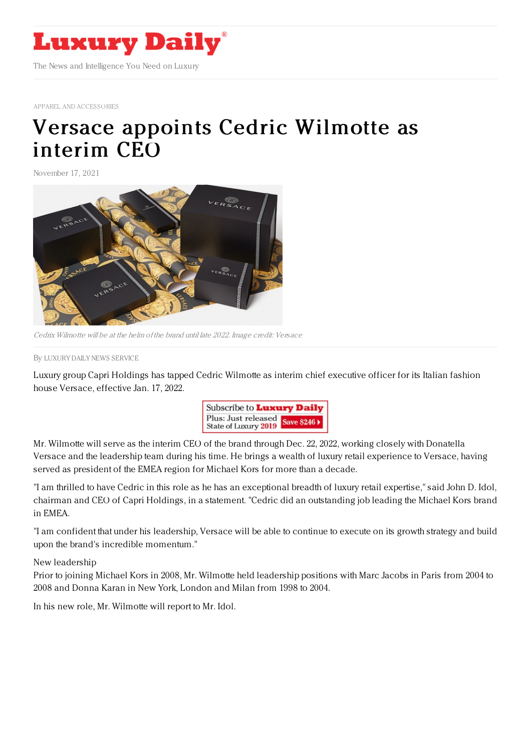

APPAREL AND [ACCESSORIES](https://www.luxurydaily.com/category/sectors/apparel-and-accessories/)

## Versace appoints Cedric [Wilmotte](https://www.luxurydaily.com/versace-appoints-cedric-wilmotte-as-interim-ceo/) as interim CEO

November 17, 2021



Cedrix Wilmotte will be at the helm of the brand until late 2022. Image credit: Versace

By LUXURY DAILY NEWS [SERVICE](file:///author/luxury-daily-news-service)

Luxury group Capri Holdings has tapped Cedric Wilmotte as interim chief executive officer for its Italian fashion house Versace, effective Jan. 17, 2022.



Mr. Wilmotte will serve as the interim CEO of the brand through Dec. 22, 2022, working closely with Donatella Versace and the leadership team during his time. He brings a wealth of luxury retail experience to Versace, having served as president of the EMEA region for Michael Kors for more than a decade.

"I am thrilled to have Cedric in this role as he has an exceptional breadth of luxury retail expertise," said John D. Idol, chairman and CEO of Capri Holdings, in a statement. "Cedric did an outstanding job leading the Michael Kors brand in EMEA.

"I am confident that under his leadership, Versace will be able to continue to execute on its growth strategy and build upon the brand's incredible momentum."

New leadership

Prior to joining Michael Kors in 2008, Mr. Wilmotte held leadership positions with Marc Jacobs in Paris from 2004 to 2008 and Donna Karan in New York, London and Milan from 1998 to 2004.

In his new role, Mr. Wilmotte will report to Mr. Idol.